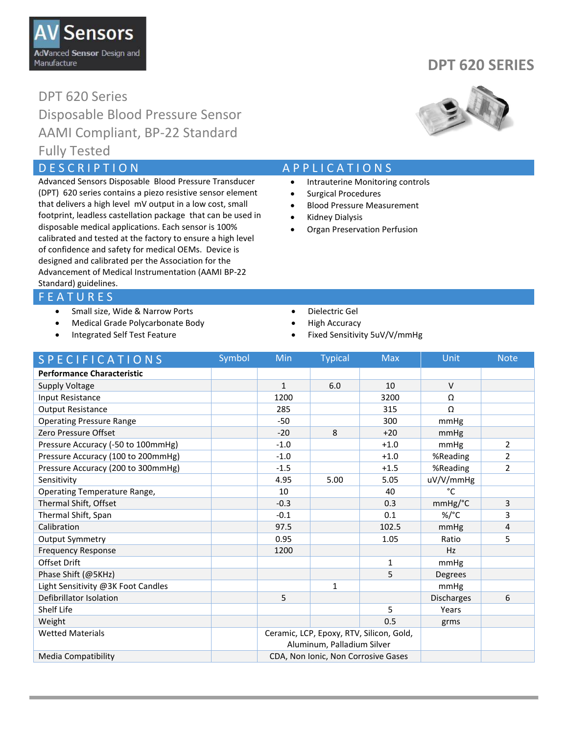### **Sensors** AdVanced Sensor Design and Manufacture

# DPT 620 Series Disposable Blood Pressure Sensor AAMI Compliant, BP-22 Standard Fully Tested

Advanced Sensors Disposable Blood Pressure Transducer (DPT) 620 series contains a piezo resistive sensor element that delivers a high level mV output in a low cost, small footprint, leadless castellation package that can be used in disposable medical applications. Each sensor is 100% calibrated and tested at the factory to ensure a high level of confidence and safety for medical OEMs. Device is designed and calibrated per the Association for the Advancement of Medical Instrumentation (AAMI BP-22 Standard) guidelines.

### **F E A T U R E S**

- Small size, Wide & Narrow Ports
- Medical Grade Polycarbonate Body
- Integrated Self Test Feature

# **DPT 620 SERIES**



### D E S C R I P T I O N A P P L I C A T I O N S

- Intrauterine Monitoring controls
- Surgical Procedures
- Blood Pressure Measurement
- Kidney Dialysis
- Organ Preservation Perfusion
- Dielectric Gel
- High Accuracy
- Fixed Sensitivity 5uV/V/mmHg

| <b>SPECIFICATIONS</b>              | Symbol | Min                                                                    | <b>Typical</b> | <b>Max</b> | Unit                  | <b>Note</b>    |
|------------------------------------|--------|------------------------------------------------------------------------|----------------|------------|-----------------------|----------------|
| <b>Performance Characteristic</b>  |        |                                                                        |                |            |                       |                |
| Supply Voltage                     |        | $\mathbf{1}$                                                           | 6.0            | 10         | $\vee$                |                |
| Input Resistance                   |        | 1200                                                                   |                | 3200       | Ω                     |                |
| <b>Output Resistance</b>           |        | 285                                                                    |                | 315        | Ω                     |                |
| <b>Operating Pressure Range</b>    |        | $-50$                                                                  |                | 300        | mmHg                  |                |
| Zero Pressure Offset               |        | $-20$                                                                  | 8              | $+20$      | mmHg                  |                |
| Pressure Accuracy (-50 to 100mmHg) |        | $-1.0$                                                                 |                | $+1.0$     | mmHg                  | $\overline{2}$ |
| Pressure Accuracy (100 to 200mmHg) |        | $-1.0$                                                                 |                | $+1.0$     | %Reading              | $\overline{2}$ |
| Pressure Accuracy (200 to 300mmHg) |        | $-1.5$                                                                 |                | $+1.5$     | %Reading              | $\overline{2}$ |
| Sensitivity                        |        | 4.95                                                                   | 5.00           | 5.05       | uV/V/mmHg             |                |
| Operating Temperature Range,       |        | 10                                                                     |                | 40         | °C                    |                |
| Thermal Shift, Offset              |        | $-0.3$                                                                 |                | 0.3        | $mmHg$ <sup>°</sup> C | 3              |
| Thermal Shift, Span                |        | $-0.1$                                                                 |                | 0.1        | %/ $^{\circ}$ C       | 3              |
| Calibration                        |        | 97.5                                                                   |                | 102.5      | mmHg                  | 4              |
| <b>Output Symmetry</b>             |        | 0.95                                                                   |                | 1.05       | Ratio                 | 5              |
| <b>Frequency Response</b>          |        | 1200                                                                   |                |            | <b>Hz</b>             |                |
| Offset Drift                       |        |                                                                        |                | 1          | mmHg                  |                |
| Phase Shift (@5KHz)                |        |                                                                        |                | 5          | <b>Degrees</b>        |                |
| Light Sensitivity @3K Foot Candles |        |                                                                        | $\mathbf{1}$   |            | mmHg                  |                |
| Defibrillator Isolation            |        | 5                                                                      |                |            | <b>Discharges</b>     | 6              |
| Shelf Life                         |        |                                                                        |                | 5          | Years                 |                |
| Weight                             |        |                                                                        |                | 0.5        | grms                  |                |
| <b>Wetted Materials</b>            |        | Ceramic, LCP, Epoxy, RTV, Silicon, Gold,<br>Aluminum, Palladium Silver |                |            |                       |                |
| <b>Media Compatibility</b>         |        | CDA, Non Ionic, Non Corrosive Gases                                    |                |            |                       |                |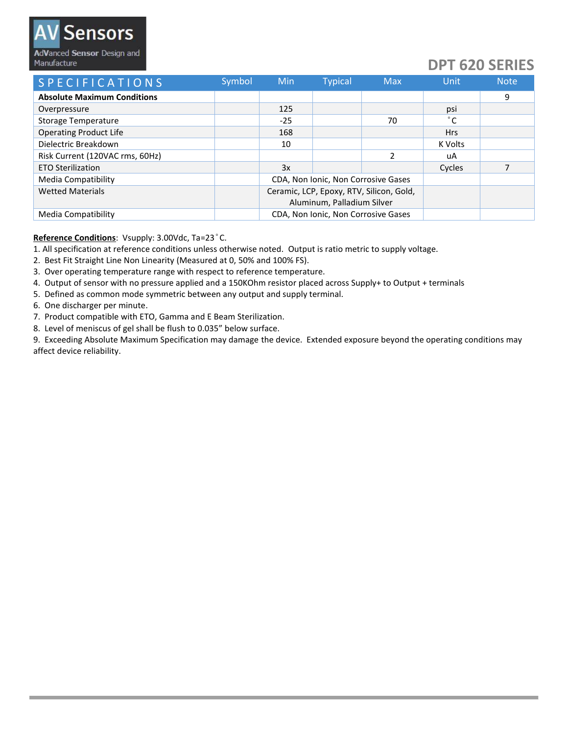### **DPT 620 SERIES**

| <b>SPECIFICATIONS</b>              | Symbol | <b>Min</b>                               | <b>Typical</b> | <b>Max</b> | Unit         | <b>Note</b> |
|------------------------------------|--------|------------------------------------------|----------------|------------|--------------|-------------|
| <b>Absolute Maximum Conditions</b> |        |                                          |                |            |              | 9           |
| Overpressure                       |        | 125                                      |                |            | psi          |             |
| Storage Temperature                |        | $-25$                                    |                | 70         | $^{\circ}$ C |             |
| <b>Operating Product Life</b>      |        | 168                                      |                |            | <b>Hrs</b>   |             |
| Dielectric Breakdown               |        | 10                                       |                |            | K Volts      |             |
| Risk Current (120VAC rms, 60Hz)    |        |                                          |                |            | uA           |             |
| <b>ETO Sterilization</b>           |        | 3x                                       |                |            | Cycles       |             |
| Media Compatibility                |        | CDA, Non Ionic, Non Corrosive Gases      |                |            |              |             |
| <b>Wetted Materials</b>            |        | Ceramic, LCP, Epoxy, RTV, Silicon, Gold, |                |            |              |             |
|                                    |        | Aluminum, Palladium Silver               |                |            |              |             |
| Media Compatibility                |        | CDA, Non Ionic, Non Corrosive Gases      |                |            |              |             |

#### **Reference Conditions**: Vsupply: 3.00Vdc, Ta=23°C.

1. All specification at reference conditions unless otherwise noted. Output is ratio metric to supply voltage.

- 2. Best Fit Straight Line Non Linearity (Measured at 0, 50% and 100% FS).
- 3. Over operating temperature range with respect to reference temperature.
- 4. Output of sensor with no pressure applied and a 150KOhm resistor placed across Supply+ to Output + terminals
- 5. Defined as common mode symmetric between any output and supply terminal.
- 6. One discharger per minute.
- 7. Product compatible with ETO, Gamma and E Beam Sterilization.
- 8. Level of meniscus of gel shall be flush to 0.035" below surface.

9. Exceeding Absolute Maximum Specification may damage the device. Extended exposure beyond the operating conditions may affect device reliability.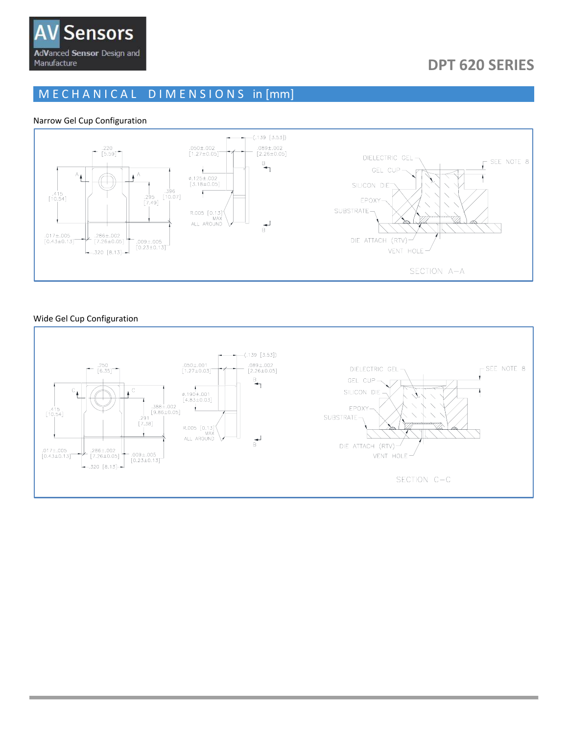

# **DPT 620 SERIES**

### M E C H A N I C A L D I M E N S I O N S in [mm]

#### Narrow Gel Cup Configuration



Wide Gel Cup Configuration